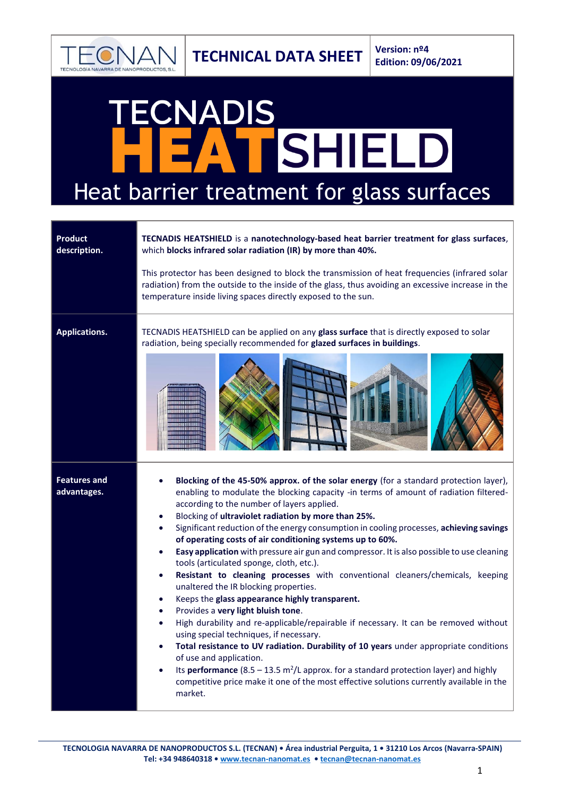

## CNADIS SHIELD  $\boldsymbol{\Lambda}$ Heat barrier treatment for glass surfaces

| <b>Product</b><br>description.     | TECNADIS HEATSHIELD is a nanotechnology-based heat barrier treatment for glass surfaces,<br>which blocks infrared solar radiation (IR) by more than 40%.<br>This protector has been designed to block the transmission of heat frequencies (infrared solar<br>radiation) from the outside to the inside of the glass, thus avoiding an excessive increase in the<br>temperature inside living spaces directly exposed to the sun.                                                                                                                                                                                                                                                                                                                                                                                                                                                                                                                                                                                                                                                                                                                                                                                                                                                                                                                                                                    |
|------------------------------------|------------------------------------------------------------------------------------------------------------------------------------------------------------------------------------------------------------------------------------------------------------------------------------------------------------------------------------------------------------------------------------------------------------------------------------------------------------------------------------------------------------------------------------------------------------------------------------------------------------------------------------------------------------------------------------------------------------------------------------------------------------------------------------------------------------------------------------------------------------------------------------------------------------------------------------------------------------------------------------------------------------------------------------------------------------------------------------------------------------------------------------------------------------------------------------------------------------------------------------------------------------------------------------------------------------------------------------------------------------------------------------------------------|
| <b>Applications.</b>               | TECNADIS HEATSHIELD can be applied on any glass surface that is directly exposed to solar<br>radiation, being specially recommended for glazed surfaces in buildings.                                                                                                                                                                                                                                                                                                                                                                                                                                                                                                                                                                                                                                                                                                                                                                                                                                                                                                                                                                                                                                                                                                                                                                                                                                |
| <b>Features and</b><br>advantages. | Blocking of the 45-50% approx. of the solar energy (for a standard protection layer),<br>enabling to modulate the blocking capacity -in terms of amount of radiation filtered-<br>according to the number of layers applied.<br>Blocking of ultraviolet radiation by more than 25%.<br>$\bullet$<br>Significant reduction of the energy consumption in cooling processes, achieving savings<br>$\bullet$<br>of operating costs of air conditioning systems up to 60%.<br>Easy application with pressure air gun and compressor. It is also possible to use cleaning<br>$\bullet$<br>tools (articulated sponge, cloth, etc.).<br>Resistant to cleaning processes with conventional cleaners/chemicals, keeping<br>$\bullet$<br>unaltered the IR blocking properties.<br>Keeps the glass appearance highly transparent.<br>$\bullet$<br>Provides a very light bluish tone.<br>$\bullet$<br>High durability and re-applicable/repairable if necessary. It can be removed without<br>$\bullet$<br>using special techniques, if necessary.<br>Total resistance to UV radiation. Durability of 10 years under appropriate conditions<br>$\bullet$<br>of use and application.<br>Its performance $(8.5 - 13.5 \text{ m}^2/\text{L}$ approx. for a standard protection layer) and highly<br>$\bullet$<br>competitive price make it one of the most effective solutions currently available in the<br>market. |

**TECNOLOGIA NAVARRA DE NANOPRODUCTOS S.L. (TECNAN) • Área industrial Perguita, 1 • 31210 Los Arcos (Navarra-SPAIN) Tel: +34 948640318 • [www.tecnan-nanomat.es](http://www.tecnan-nanomat.es/) • [tecnan@tecnan-nanomat.es](mailto:tecnan@tecnan-nanomat.es)**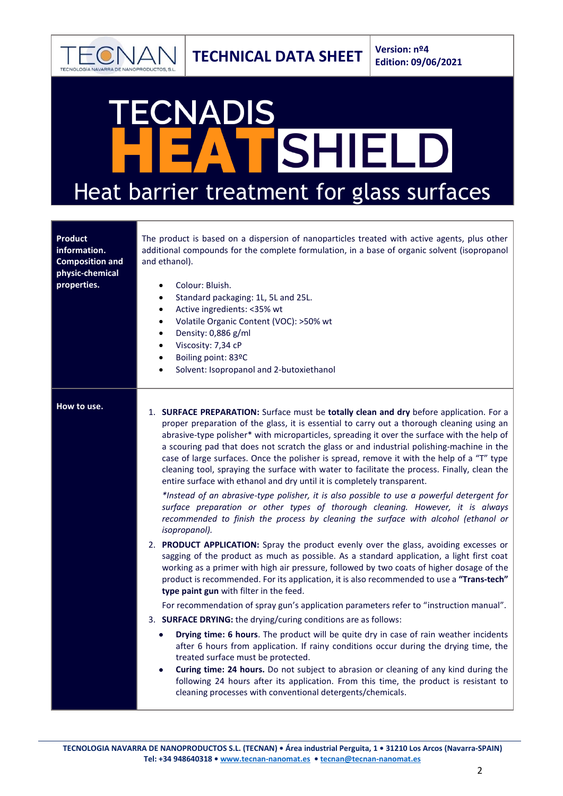

## CNADIS SHIELD  $\boldsymbol{\Lambda}$ Heat barrier treatment for glass surfaces

| <b>Product</b><br>information.<br><b>Composition and</b><br>physic-chemical<br>properties. | The product is based on a dispersion of nanoparticles treated with active agents, plus other<br>additional compounds for the complete formulation, in a base of organic solvent (isopropanol<br>and ethanol).<br>Colour: Bluish.<br>$\bullet$<br>Standard packaging: 1L, 5L and 25L.<br>$\bullet$<br>Active ingredients: <35% wt<br>$\bullet$<br>Volatile Organic Content (VOC): >50% wt<br>$\bullet$<br>Density: 0,886 g/ml<br>$\bullet$<br>Viscosity: 7,34 cP<br>$\bullet$<br>Boiling point: 83ºC<br>$\bullet$<br>Solvent: Isopropanol and 2-butoxiethanol<br>$\bullet$                                                                                                                                                                                                                                                                                                                                                                                                                                                                                                                                                                                                                                                                                                                                                                                                                                                                                                                                                                                                                                                                                                                                                                                                                                                                                                                                                                                                                                                                   |
|--------------------------------------------------------------------------------------------|---------------------------------------------------------------------------------------------------------------------------------------------------------------------------------------------------------------------------------------------------------------------------------------------------------------------------------------------------------------------------------------------------------------------------------------------------------------------------------------------------------------------------------------------------------------------------------------------------------------------------------------------------------------------------------------------------------------------------------------------------------------------------------------------------------------------------------------------------------------------------------------------------------------------------------------------------------------------------------------------------------------------------------------------------------------------------------------------------------------------------------------------------------------------------------------------------------------------------------------------------------------------------------------------------------------------------------------------------------------------------------------------------------------------------------------------------------------------------------------------------------------------------------------------------------------------------------------------------------------------------------------------------------------------------------------------------------------------------------------------------------------------------------------------------------------------------------------------------------------------------------------------------------------------------------------------------------------------------------------------------------------------------------------------|
| How to use.                                                                                | 1. SURFACE PREPARATION: Surface must be totally clean and dry before application. For a<br>proper preparation of the glass, it is essential to carry out a thorough cleaning using an<br>abrasive-type polisher* with microparticles, spreading it over the surface with the help of<br>a scouring pad that does not scratch the glass or and industrial polishing-machine in the<br>case of large surfaces. Once the polisher is spread, remove it with the help of a "T" type<br>cleaning tool, spraying the surface with water to facilitate the process. Finally, clean the<br>entire surface with ethanol and dry until it is completely transparent.<br>*Instead of an abrasive-type polisher, it is also possible to use a powerful detergent for<br>surface preparation or other types of thorough cleaning. However, it is always<br>recommended to finish the process by cleaning the surface with alcohol (ethanol or<br>isopropanol).<br>2. PRODUCT APPLICATION: Spray the product evenly over the glass, avoiding excesses or<br>sagging of the product as much as possible. As a standard application, a light first coat<br>working as a primer with high air pressure, followed by two coats of higher dosage of the<br>product is recommended. For its application, it is also recommended to use a "Trans-tech"<br>type paint gun with filter in the feed.<br>For recommendation of spray gun's application parameters refer to "instruction manual".<br>3. SURFACE DRYING: the drying/curing conditions are as follows:<br>Drying time: 6 hours. The product will be quite dry in case of rain weather incidents<br>$\bullet$<br>after 6 hours from application. If rainy conditions occur during the drying time, the<br>treated surface must be protected.<br>Curing time: 24 hours. Do not subject to abrasion or cleaning of any kind during the<br>$\bullet$<br>following 24 hours after its application. From this time, the product is resistant to<br>cleaning processes with conventional detergents/chemicals. |

**TECNOLOGIA NAVARRA DE NANOPRODUCTOS S.L. (TECNAN) • Área industrial Perguita, 1 • 31210 Los Arcos (Navarra-SPAIN) Tel: +34 948640318 • [www.tecnan-nanomat.es](http://www.tecnan-nanomat.es/) • [tecnan@tecnan-nanomat.es](mailto:tecnan@tecnan-nanomat.es)**